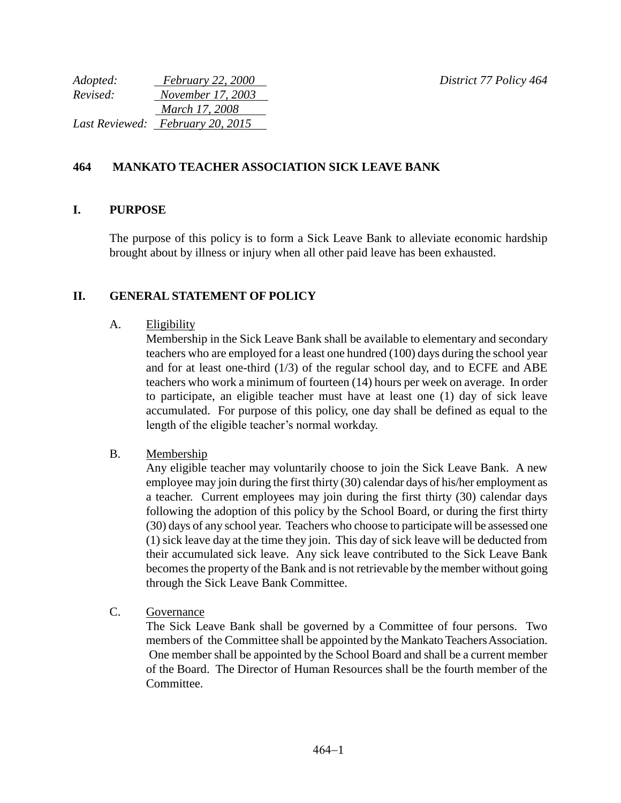*Adopted: February 22, 2000 District 77 Policy 464*

| Adopted: | <i>February</i> 22, 2000         |
|----------|----------------------------------|
| Revised: | November 17, 2003                |
|          | March 17, 2008                   |
|          | Last Reviewed: February 20, 2015 |

# **464 MANKATO TEACHER ASSOCIATION SICK LEAVE BANK**

### **I. PURPOSE**

The purpose of this policy is to form a Sick Leave Bank to alleviate economic hardship brought about by illness or injury when all other paid leave has been exhausted.

### **II. GENERAL STATEMENT OF POLICY**

#### A. Eligibility

Membership in the Sick Leave Bank shall be available to elementary and secondary teachers who are employed for a least one hundred (100) days during the school year and for at least one-third  $(1/3)$  of the regular school day, and to ECFE and ABE teachers who work a minimum of fourteen (14) hours per week on average. In order to participate, an eligible teacher must have at least one (1) day of sick leave accumulated. For purpose of this policy, one day shall be defined as equal to the length of the eligible teacher's normal workday.

### B. Membership

Any eligible teacher may voluntarily choose to join the Sick Leave Bank. A new employee may join during the first thirty (30) calendar days of his/her employment as a teacher. Current employees may join during the first thirty (30) calendar days following the adoption of this policy by the School Board, or during the first thirty (30) days of any school year. Teachers who choose to participate will be assessed one (1) sick leave day at the time they join. This day of sick leave will be deducted from their accumulated sick leave. Any sick leave contributed to the Sick Leave Bank becomes the property of the Bank and is not retrievable by the member without going through the Sick Leave Bank Committee.

C. Governance

The Sick Leave Bank shall be governed by a Committee of four persons. Two members of the Committee shall be appointed by the Mankato Teachers Association. One member shall be appointed by the School Board and shall be a current member of the Board. The Director of Human Resources shall be the fourth member of the **Committee**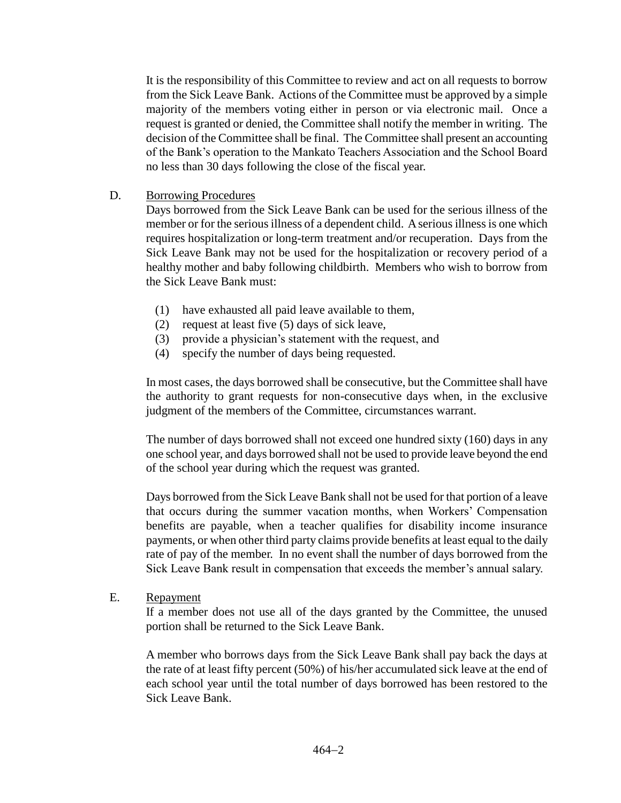It is the responsibility of this Committee to review and act on all requests to borrow from the Sick Leave Bank. Actions of the Committee must be approved by a simple majority of the members voting either in person or via electronic mail. Once a request is granted or denied, the Committee shall notify the member in writing. The decision of the Committee shall be final. The Committee shall present an accounting of the Bank's operation to the Mankato Teachers Association and the School Board no less than 30 days following the close of the fiscal year.

D. Borrowing Procedures

Days borrowed from the Sick Leave Bank can be used for the serious illness of the member or for the serious illness of a dependent child. A serious illness is one which requires hospitalization or long-term treatment and/or recuperation. Days from the Sick Leave Bank may not be used for the hospitalization or recovery period of a healthy mother and baby following childbirth. Members who wish to borrow from the Sick Leave Bank must:

- (1) have exhausted all paid leave available to them,
- (2) request at least five (5) days of sick leave,
- (3) provide a physician's statement with the request, and
- (4) specify the number of days being requested.

In most cases, the days borrowed shall be consecutive, but the Committee shall have the authority to grant requests for non-consecutive days when, in the exclusive judgment of the members of the Committee, circumstances warrant.

The number of days borrowed shall not exceed one hundred sixty (160) days in any one school year, and days borrowed shall not be used to provide leave beyond the end of the school year during which the request was granted.

Days borrowed from the Sick Leave Bank shall not be used for that portion of a leave that occurs during the summer vacation months, when Workers' Compensation benefits are payable, when a teacher qualifies for disability income insurance payments, or when other third party claims provide benefits at least equal to the daily rate of pay of the member. In no event shall the number of days borrowed from the Sick Leave Bank result in compensation that exceeds the member's annual salary.

E. Repayment

If a member does not use all of the days granted by the Committee, the unused portion shall be returned to the Sick Leave Bank.

A member who borrows days from the Sick Leave Bank shall pay back the days at the rate of at least fifty percent (50%) of his/her accumulated sick leave at the end of each school year until the total number of days borrowed has been restored to the Sick Leave Bank.